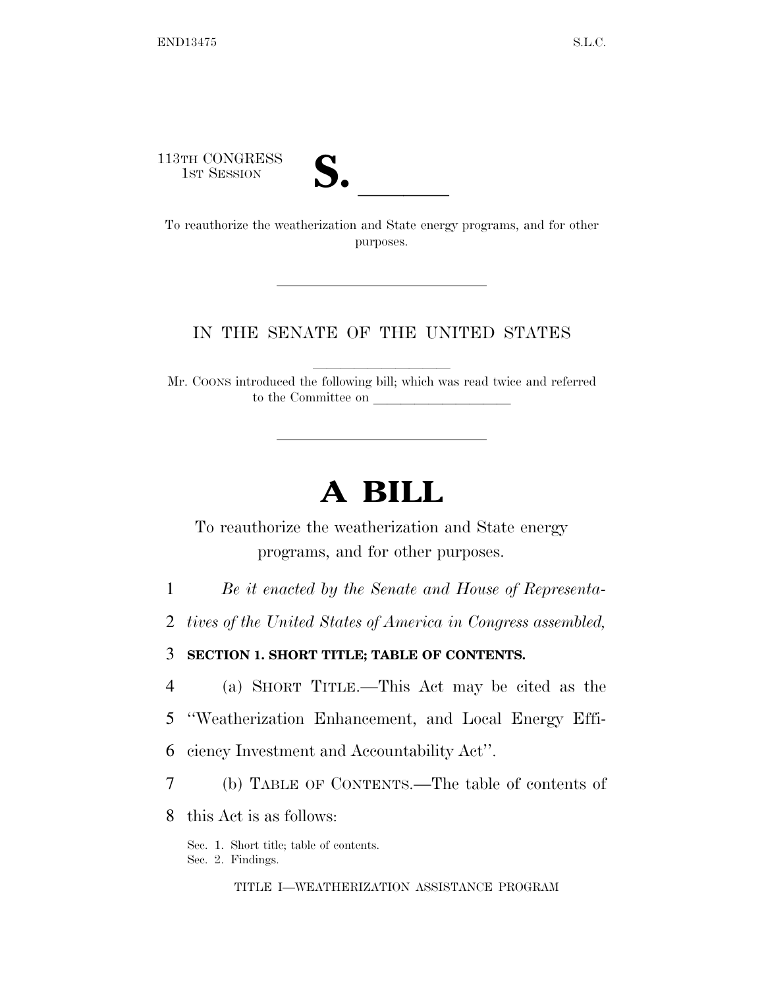113TH CONGRESS



13TH CONGRESS<br>
1ST SESSION<br>
To reauthorize the weatherization and State energy programs, and for other purposes.

### IN THE SENATE OF THE UNITED STATES

Mr. COONS introduced the following bill; which was read twice and referred to the Committee on

# **A BILL**

To reauthorize the weatherization and State energy programs, and for other purposes.

1 *Be it enacted by the Senate and House of Representa-*

2 *tives of the United States of America in Congress assembled,* 

3 **SECTION 1. SHORT TITLE; TABLE OF CONTENTS.** 

4 (a) SHORT TITLE.—This Act may be cited as the

5 ''Weatherization Enhancement, and Local Energy Effi-

6 ciency Investment and Accountability Act''.

7 (b) TABLE OF CONTENTS.—The table of contents of

8 this Act is as follows:

Sec. 1. Short title; table of contents. Sec. 2. Findings.

TITLE I—WEATHERIZATION ASSISTANCE PROGRAM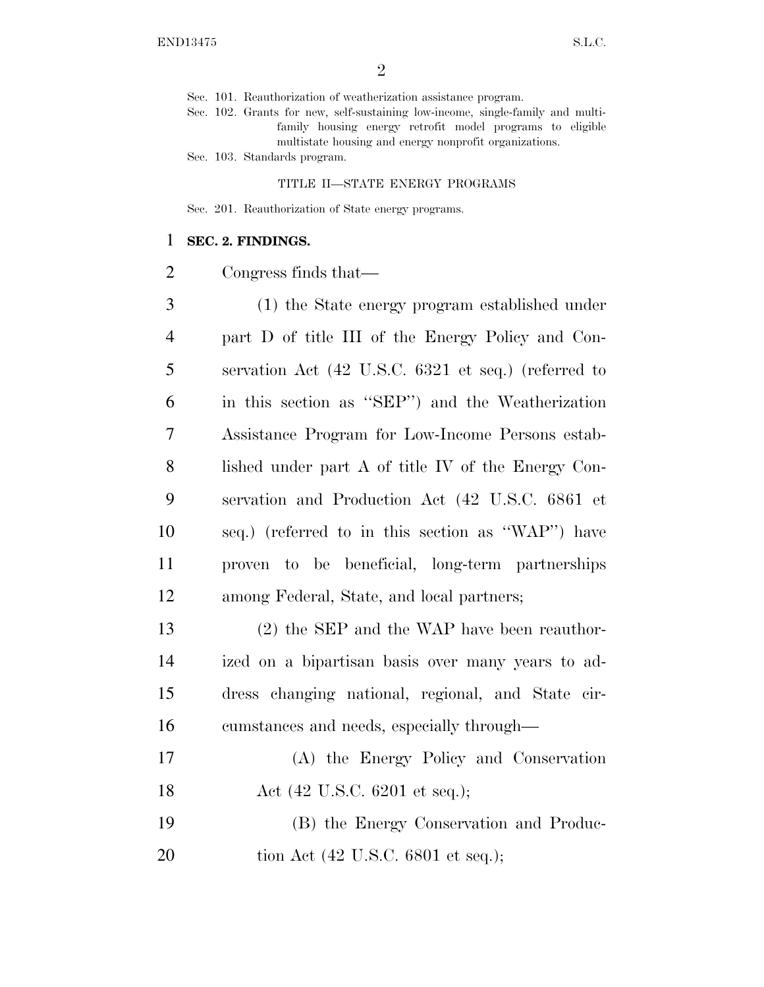Sec. 101. Reauthorization of weatherization assistance program.

Sec. 102. Grants for new, self-sustaining low-income, single-family and multifamily housing energy retrofit model programs to eligible multistate housing and energy nonprofit organizations.

Sec. 103. Standards program.

#### TITLE II—STATE ENERGY PROGRAMS

Sec. 201. Reauthorization of State energy programs.

#### **SEC. 2. FINDINGS.**

Congress finds that—

 (1) the State energy program established under part D of title III of the Energy Policy and Con- servation Act (42 U.S.C. 6321 et seq.) (referred to in this section as ''SEP'') and the Weatherization Assistance Program for Low-Income Persons estab- lished under part A of title IV of the Energy Con- servation and Production Act (42 U.S.C. 6861 et seq.) (referred to in this section as ''WAP'') have proven to be beneficial, long-term partnerships among Federal, State, and local partners;

 (2) the SEP and the WAP have been reauthor- ized on a bipartisan basis over many years to ad- dress changing national, regional, and State cir-cumstances and needs, especially through—

- (A) the Energy Policy and Conservation 18 Act (42 U.S.C. 6201 et seq.);
- (B) the Energy Conservation and Produc-20 tion Act (42 U.S.C. 6801 et seq.);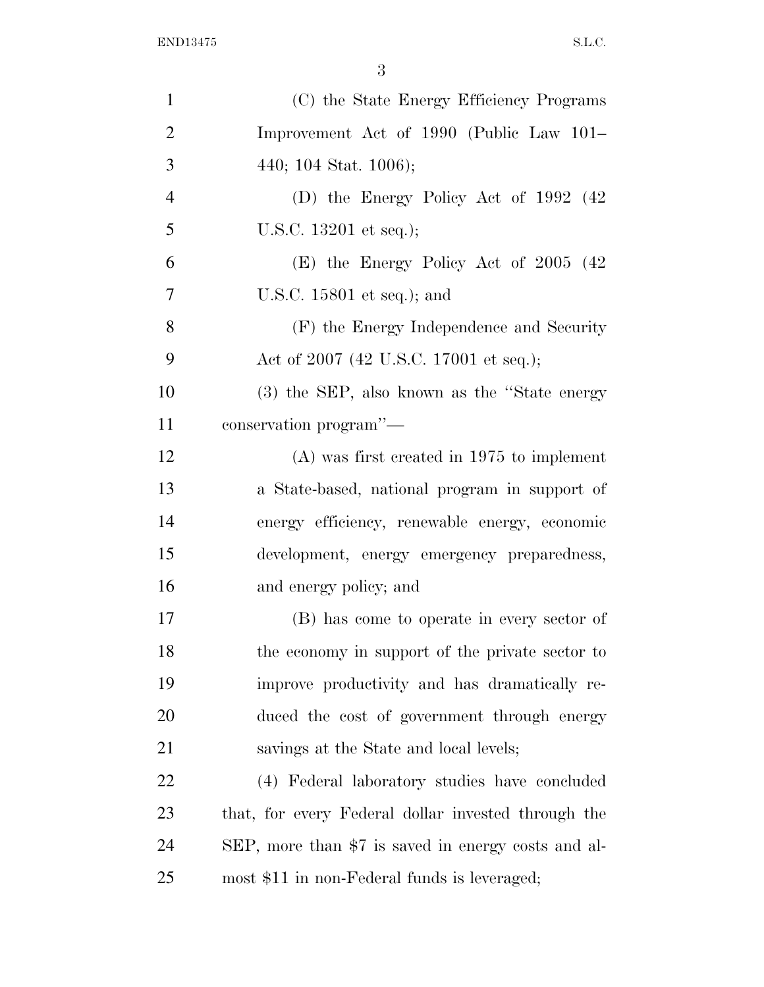| $\mathbf{1}$   | (C) the State Energy Efficiency Programs            |
|----------------|-----------------------------------------------------|
| $\overline{2}$ | Improvement Act of 1990 (Public Law 101–            |
| 3              | 440; 104 Stat. 1006);                               |
| $\overline{4}$ | (D) the Energy Policy Act of $1992$ (42)            |
| 5              | U.S.C. 13201 et seq.);                              |
| 6              | $(E)$ the Energy Policy Act of 2005 (42)            |
| $\overline{7}$ | U.S.C. $15801$ et seq.); and                        |
| 8              | (F) the Energy Independence and Security            |
| 9              | Act of 2007 (42 U.S.C. 17001 et seq.);              |
| 10             | (3) the SEP, also known as the "State energy        |
| 11             | conservation program"-                              |
| 12             | $(A)$ was first created in 1975 to implement        |
| 13             | a State-based, national program in support of       |
| 14             | energy efficiency, renewable energy, economic       |
| 15             | development, energy emergency preparedness,         |
| 16             | and energy policy; and                              |
| 17             | (B) has come to operate in every sector of          |
| 18             | the economy in support of the private sector to     |
| 19             | improve productivity and has dramatically re-       |
| 20             | duced the cost of government through energy         |
| 21             | savings at the State and local levels;              |
| 22             | (4) Federal laboratory studies have concluded       |
| 23             | that, for every Federal dollar invested through the |
| 24             | SEP, more than \$7 is saved in energy costs and al- |
| 25             | most \$11 in non-Federal funds is leveraged;        |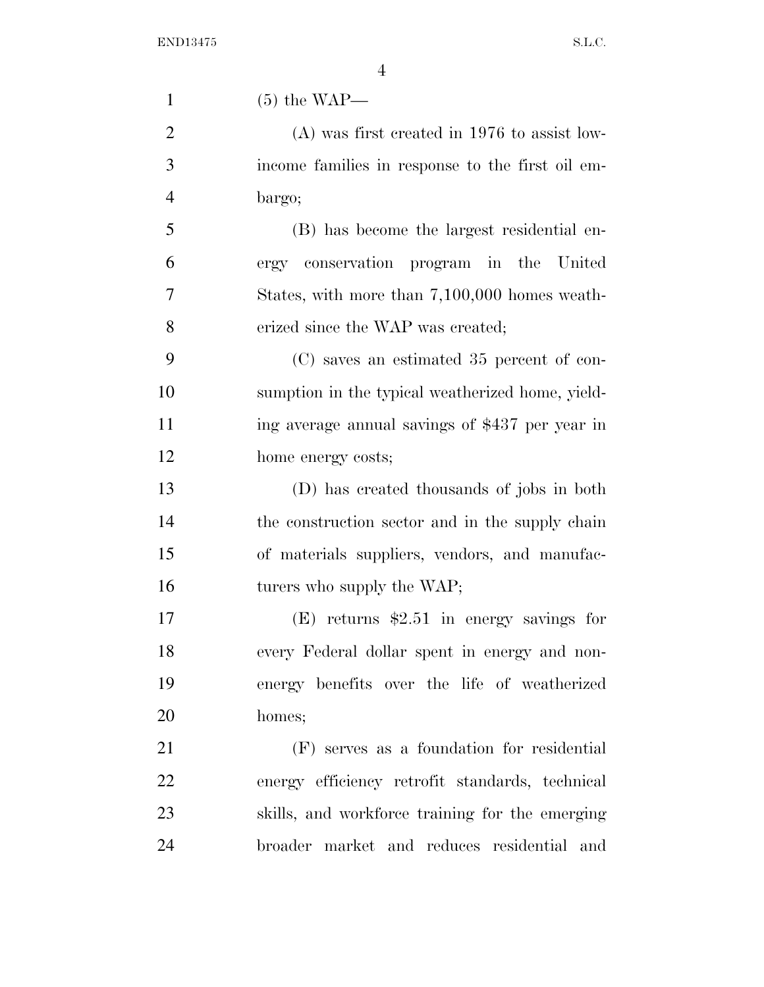| $\mathbf{1}$   | $(5)$ the WAP—                                   |
|----------------|--------------------------------------------------|
| $\overline{2}$ | $(A)$ was first created in 1976 to assist low-   |
| 3              | income families in response to the first oil em- |
| $\overline{4}$ | bargo;                                           |
| 5              | (B) has become the largest residential en-       |
| 6              | ergy conservation program in the United          |
| 7              | States, with more than 7,100,000 homes weath-    |
| 8              | erized since the WAP was created;                |
| 9              | (C) saves an estimated 35 percent of con-        |
| 10             | sumption in the typical weatherized home, yield- |
| 11             | ing average annual savings of \$437 per year in  |
| 12             | home energy costs;                               |
| 13             | (D) has created thousands of jobs in both        |
| 14             | the construction sector and in the supply chain  |
| 15             | of materials suppliers, vendors, and manufac-    |
| 16             | turers who supply the WAP;                       |
| 17             | $(E)$ returns \$2.51 in energy savings for       |
| 18             | every Federal dollar spent in energy and non-    |
| 19             | energy benefits over the life of weatherized     |
| 20             | homes;                                           |
| 21             | (F) serves as a foundation for residential       |
| 22             | energy efficiency retrofit standards, technical  |
| 23             | skills, and workforce training for the emerging  |
| 24             | broader market and reduces residential and       |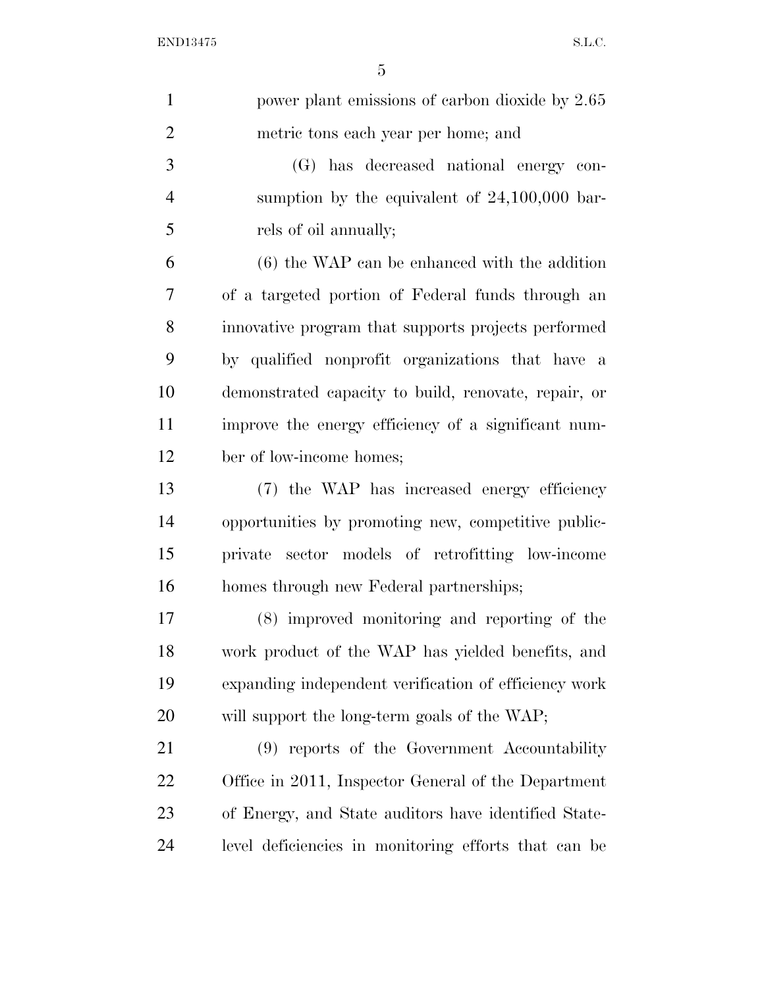| $\mathbf{1}$   | power plant emissions of carbon dioxide by 2.65       |
|----------------|-------------------------------------------------------|
| $\overline{2}$ | metric tons each year per home; and                   |
| 3              | (G) has decreased national energy con-                |
| $\overline{4}$ | sumption by the equivalent of $24,100,000$ bar-       |
| 5              | rels of oil annually;                                 |
| 6              | $(6)$ the WAP can be enhanced with the addition       |
| 7              | of a targeted portion of Federal funds through an     |
| 8              | innovative program that supports projects performed   |
| 9              | by qualified nonprofit organizations that have a      |
| 10             | demonstrated capacity to build, renovate, repair, or  |
| 11             | improve the energy efficiency of a significant num-   |
| 12             | ber of low-income homes;                              |
| 13             | (7) the WAP has increased energy efficiency           |
| 14             | opportunities by promoting new, competitive public-   |
| 15             | private sector models of retrofitting low-income      |
| 16             | homes through new Federal partnerships;               |
| 17             | (8) improved monitoring and reporting of the          |
| 18             | work product of the WAP has yielded benefits, and     |
| 19             | expanding independent verification of efficiency work |
| 20             | will support the long-term goals of the WAP;          |
| 21             | (9) reports of the Government Accountability          |
| 22             | Office in 2011, Inspector General of the Department   |
| 23             | of Energy, and State auditors have identified State-  |
| 24             | level deficiencies in monitoring efforts that can be  |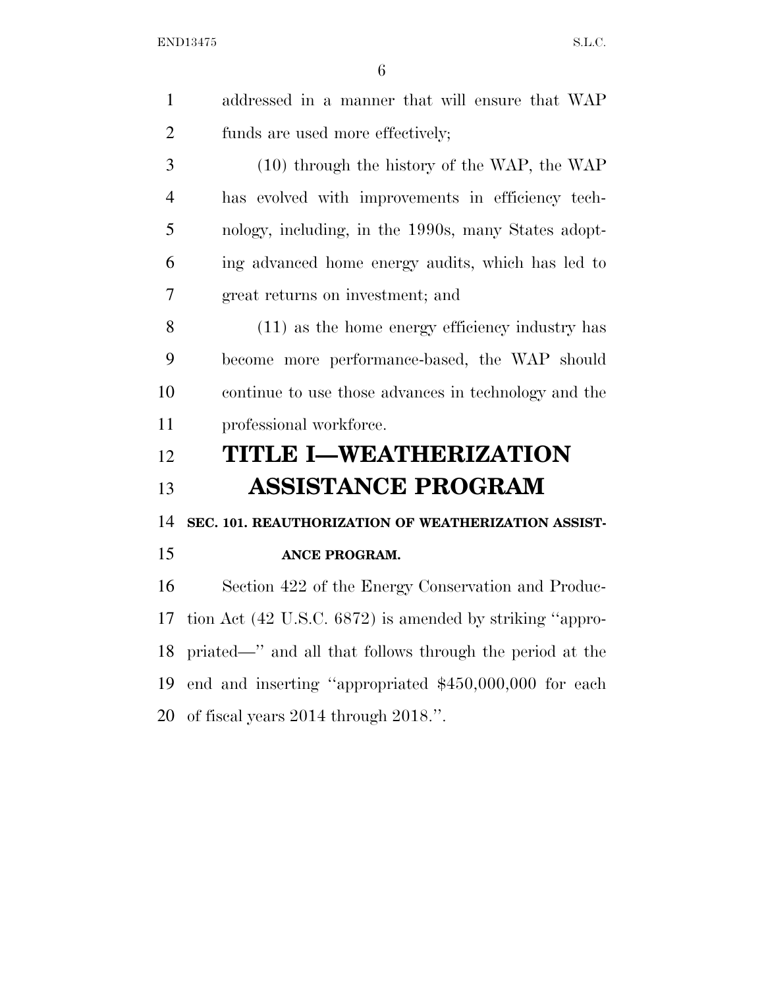|   | addressed in a manner that will ensure that WAP     |
|---|-----------------------------------------------------|
| 2 | funds are used more effectively;                    |
| 3 | $(10)$ through the history of the WAP, the WAP      |
| 4 | has evolved with improvements in efficiency tech-   |
| 5 | nology, including, in the 1990s, many States adopt- |
| 6 | ing advanced home energy audits, which has led to   |
| 7 | great returns on investment; and                    |
| 8 | (11) as the home energy efficiency industry has     |

 become more performance-based, the WAP should continue to use those advances in technology and the 11 professional workforce.

## **TITLE I—WEATHERIZATION ASSISTANCE PROGRAM**

**SEC. 101. REAUTHORIZATION OF WEATHERIZATION ASSIST-**

### **ANCE PROGRAM.**

 Section 422 of the Energy Conservation and Produc- tion Act (42 U.S.C. 6872) is amended by striking ''appro- priated—'' and all that follows through the period at the end and inserting ''appropriated \$450,000,000 for each of fiscal years 2014 through 2018.''.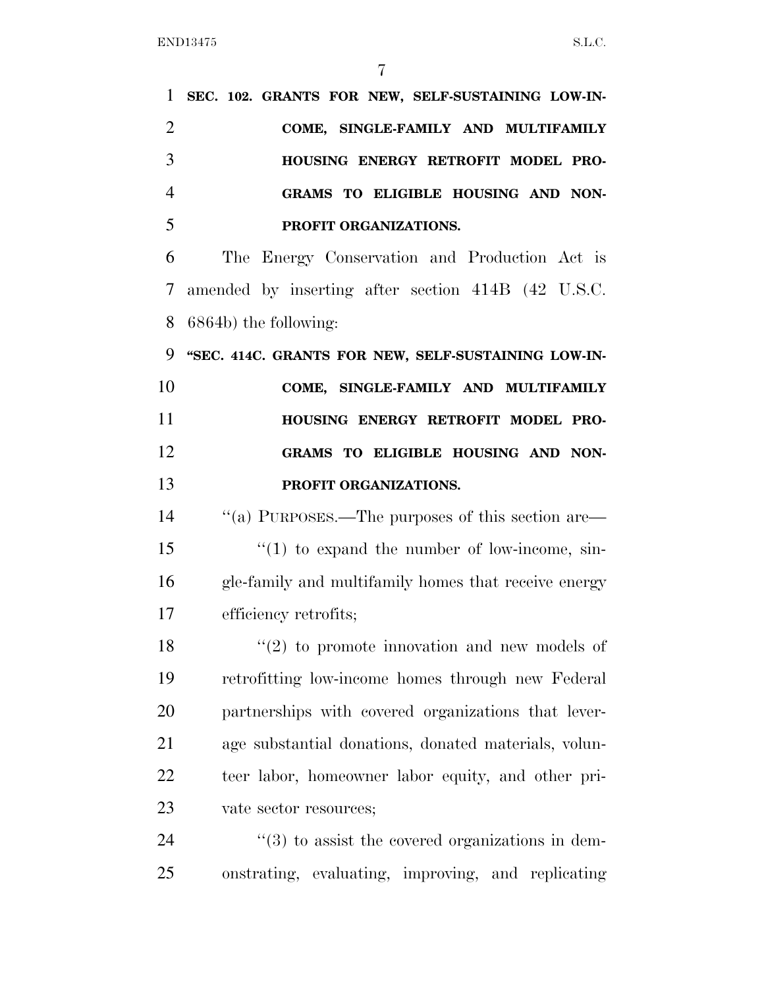| 1              | SEC. 102. GRANTS FOR NEW, SELF-SUSTAINING LOW-IN-                |
|----------------|------------------------------------------------------------------|
| $\overline{2}$ | COME, SINGLE-FAMILY AND MULTIFAMILY                              |
| 3              | HOUSING ENERGY RETROFIT MODEL PRO-                               |
| $\overline{4}$ | GRAMS TO ELIGIBLE HOUSING AND NON-                               |
| 5              | PROFIT ORGANIZATIONS.                                            |
| 6              | The Energy Conservation and Production Act is                    |
| 7              | amended by inserting after section 414B (42 U.S.C.               |
| 8              | 6864b) the following:                                            |
| 9              | "SEC. 414C. GRANTS FOR NEW, SELF-SUSTAINING LOW-IN-              |
| 10             | COME, SINGLE-FAMILY AND MULTIFAMILY                              |
| 11             | HOUSING ENERGY RETROFIT MODEL PRO-                               |
| 12             | GRAMS TO ELIGIBLE HOUSING AND NON-                               |
| 13             | PROFIT ORGANIZATIONS.                                            |
| 14             | "(a) PURPOSES.—The purposes of this section are—                 |
| 15             | $\lq(1)$ to expand the number of low-income, sin-                |
| 16             | gle-family and multifamily homes that receive energy             |
| 17             | efficiency retrofits;                                            |
| 18             | $\lq(2)$ to promote innovation and new models of                 |
| 19             | retrofitting low-income homes through new Federal                |
| 20             | partnerships with covered organizations that lever-              |
| 21             | age substantial donations, donated materials, volun-             |
| 22             | teer labor, homeowner labor equity, and other pri-               |
| 23             | vate sector resources;                                           |
| 24             | $\cdot\cdot\cdot(3)$ to assist the covered organizations in dem- |
| 25             | onstrating, evaluating, improving, and replicating               |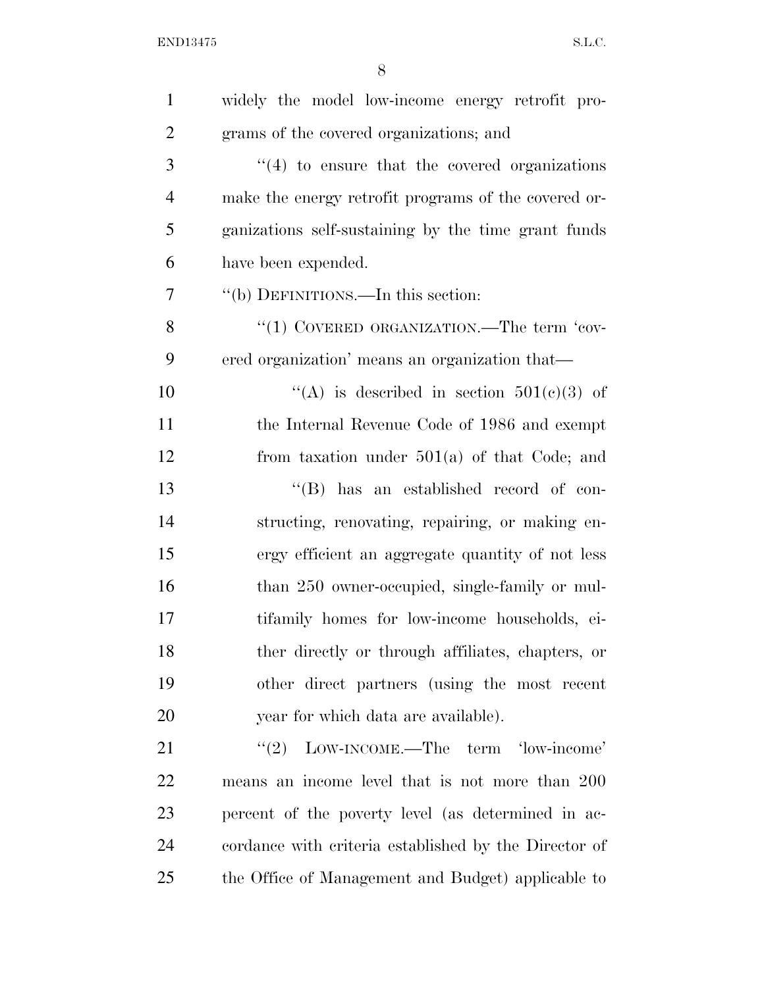| $\mathbf{1}$   | widely the model low-income energy retrofit pro-      |
|----------------|-------------------------------------------------------|
| $\overline{2}$ | grams of the covered organizations; and               |
| 3              | $\cdot$ (4) to ensure that the covered organizations  |
| $\overline{4}$ | make the energy retrofit programs of the covered or-  |
| 5              | ganizations self-sustaining by the time grant funds   |
| 6              | have been expended.                                   |
| 7              | "(b) DEFINITIONS.—In this section:                    |
| 8              | "(1) COVERED ORGANIZATION.—The term 'cov-             |
| 9              | ered organization' means an organization that-        |
| 10             | "(A) is described in section $501(c)(3)$ of           |
| 11             | the Internal Revenue Code of 1986 and exempt          |
| 12             | from taxation under $501(a)$ of that Code; and        |
| 13             | "(B) has an established record of con-                |
| 14             | structing, renovating, repairing, or making en-       |
| 15             | ergy efficient an aggregate quantity of not less      |
| 16             | than 250 owner-occupied, single-family or mul-        |
| 17             | tifamily homes for low-income households, ei-         |
| 18             | ther directly or through affiliates, chapters, or     |
| 19             | other direct partners (using the most recent          |
| 20             | year for which data are available).                   |
| 21             | LOW-INCOME.—The term 'low-income'<br>(2)              |
| 22             | means an income level that is not more than 200       |
| 23             | percent of the poverty level (as determined in ac-    |
| 24             | cordance with criteria established by the Director of |
| 25             | the Office of Management and Budget) applicable to    |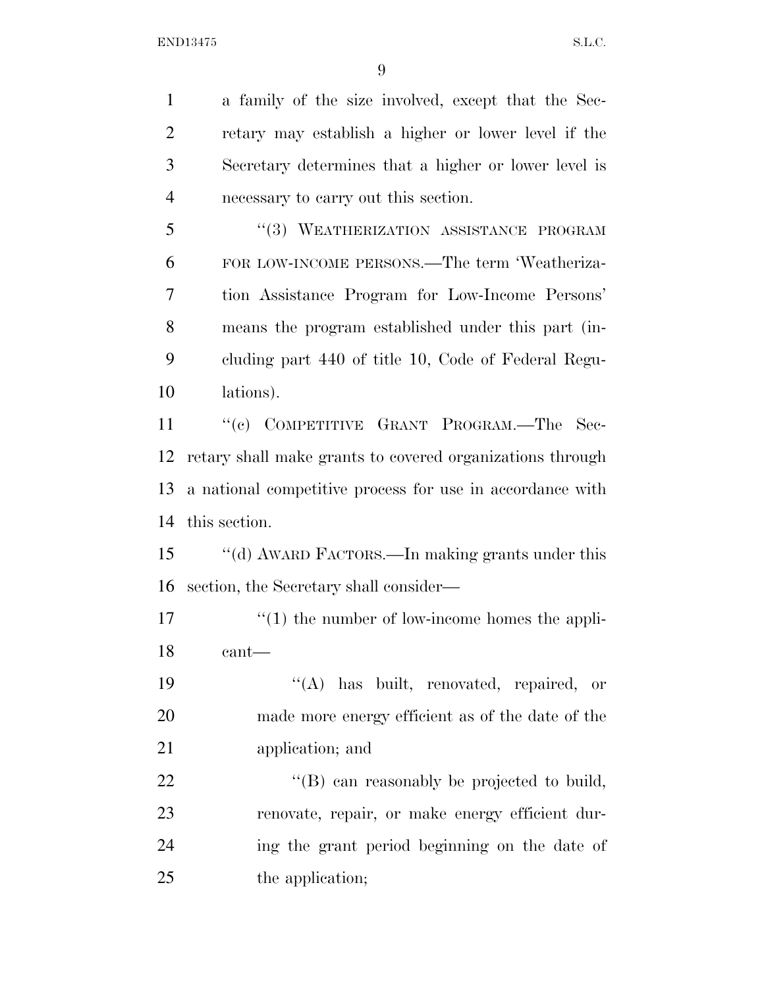a family of the size involved, except that the Sec- retary may establish a higher or lower level if the Secretary determines that a higher or lower level is necessary to carry out this section.

5 "(3) WEATHERIZATION ASSISTANCE PROGRAM FOR LOW-INCOME PERSONS.—The term 'Weatheriza- tion Assistance Program for Low-Income Persons' means the program established under this part (in- cluding part 440 of title 10, Code of Federal Regu-lations).

11 "(c) COMPETITIVE GRANT PROGRAM.—The Sec- retary shall make grants to covered organizations through a national competitive process for use in accordance with this section.

 ''(d) AWARD FACTORS.—In making grants under this section, the Secretary shall consider—

17 ''(1) the number of low-income homes the appli-cant—

 ''(A) has built, renovated, repaired, or made more energy efficient as of the date of the application; and

22 "'(B) can reasonably be projected to build, renovate, repair, or make energy efficient dur- ing the grant period beginning on the date of 25 the application;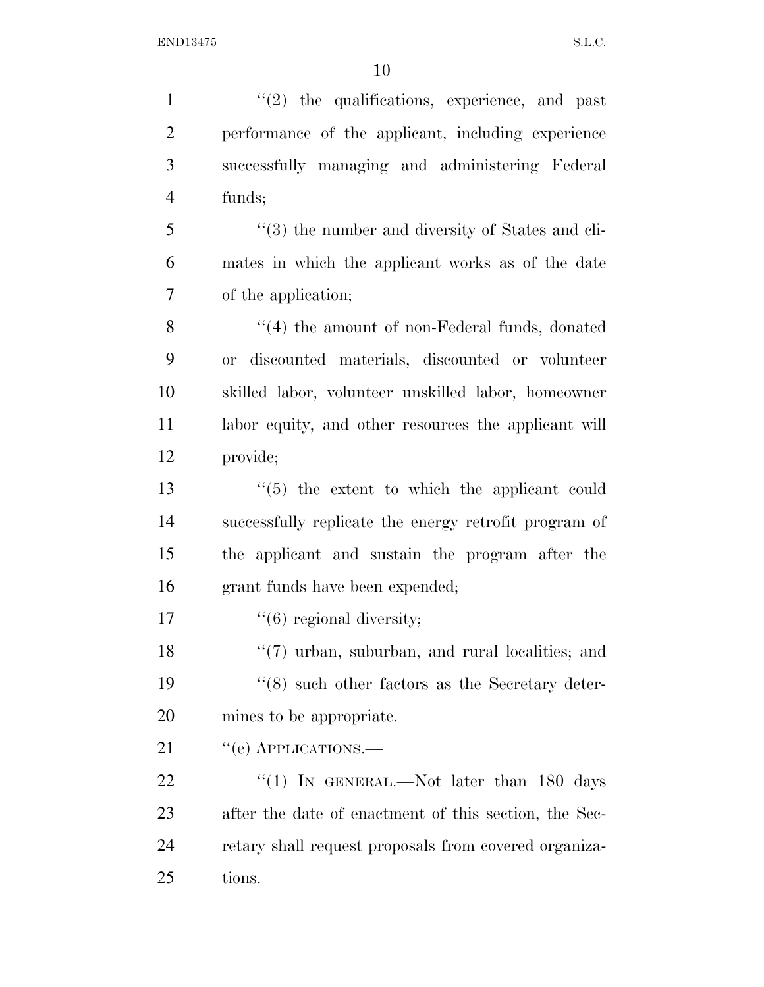1 ''(2) the qualifications, experience, and past performance of the applicant, including experience successfully managing and administering Federal funds; ''(3) the number and diversity of States and cli- mates in which the applicant works as of the date of the application; 8 "(4) the amount of non-Federal funds, donated or discounted materials, discounted or volunteer skilled labor, volunteer unskilled labor, homeowner 11 labor equity, and other resources the applicant will provide; ''(5) the extent to which the applicant could successfully replicate the energy retrofit program of the applicant and sustain the program after the grant funds have been expended;  $"$ (6) regional diversity; 18 ''(7) urban, suburban, and rural localities; and ''(8) such other factors as the Secretary deter- mines to be appropriate. 21 "(e) APPLICATIONS.— 22 "(1) In GENERAL.—Not later than 180 days after the date of enactment of this section, the Sec- retary shall request proposals from covered organiza-tions.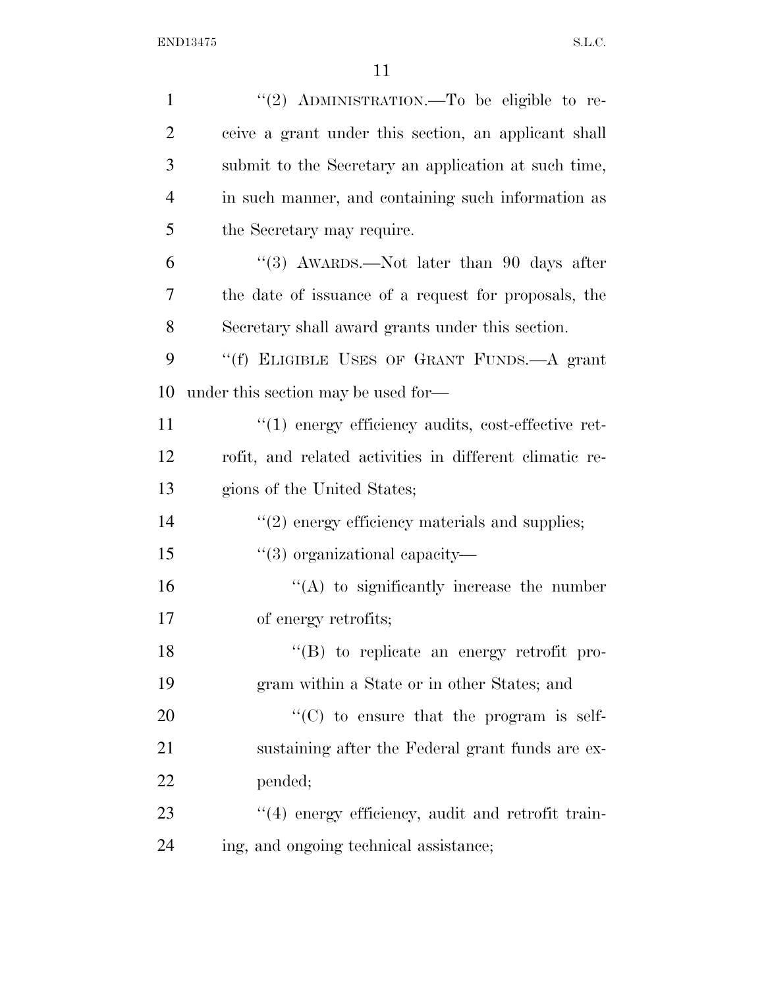| $\mathbf{1}$   | "(2) ADMINISTRATION.—To be eligible to re-              |
|----------------|---------------------------------------------------------|
| $\overline{2}$ | ceive a grant under this section, an applicant shall    |
| 3              | submit to the Secretary an application at such time,    |
| $\overline{4}$ | in such manner, and containing such information as      |
| 5              | the Secretary may require.                              |
| 6              | "(3) AWARDS.—Not later than 90 days after               |
| 7              | the date of issuance of a request for proposals, the    |
| 8              | Secretary shall award grants under this section.        |
| 9              | "(f) ELIGIBLE USES OF GRANT FUNDS.—A grant              |
| 10             | under this section may be used for—                     |
| 11             | $\lq(1)$ energy efficiency audits, cost-effective ret-  |
| 12             | rofit, and related activities in different climatic re- |
| 13             | gions of the United States;                             |
| 14             | $\lq(2)$ energy efficiency materials and supplies;      |
| 15             | $\lq(3)$ organizational capacity—                       |
| 16             | $\lq\lq$ to significantly increase the number           |
| 17             | of energy retrofits;                                    |
| 18             | "(B) to replicate an energy retrofit pro-               |
| 19             | gram within a State or in other States; and             |
| 20             | "(C) to ensure that the program is self-                |
| 21             | sustaining after the Federal grant funds are ex-        |
| 22             | pended;                                                 |
| 23             | "(4) energy efficiency, audit and retrofit train-       |
| 24             | ing, and ongoing technical assistance;                  |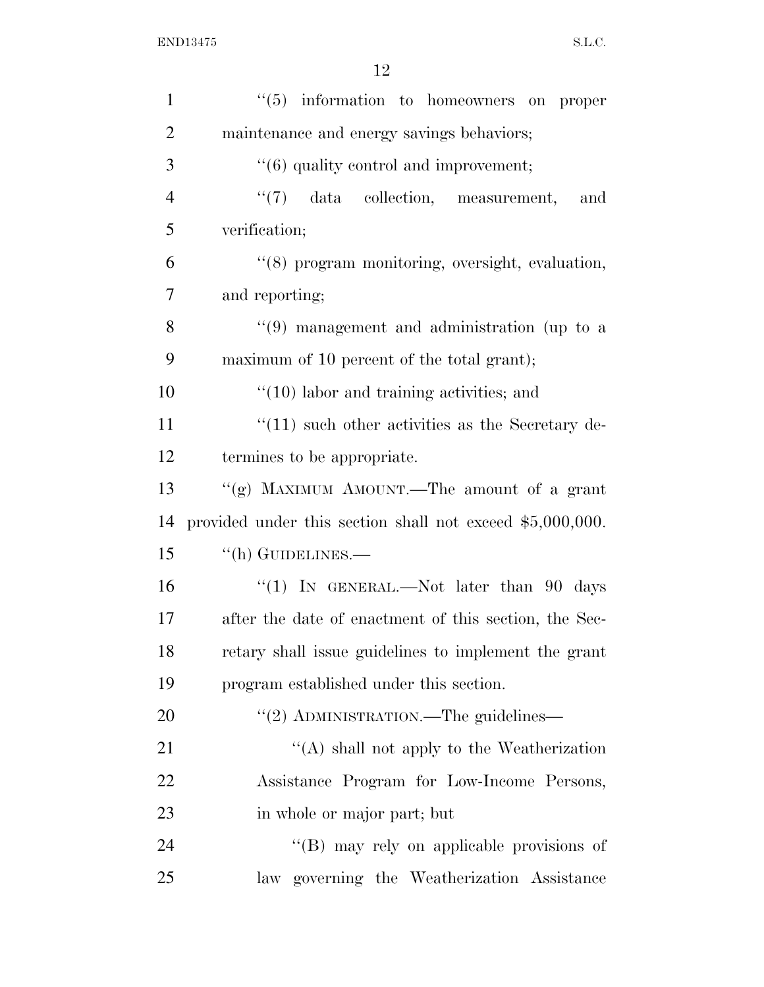| $\mathbf{1}$   | $(5)$ information to homeowners on proper                   |
|----------------|-------------------------------------------------------------|
| $\overline{2}$ | maintenance and energy savings behaviors;                   |
| 3              | $\cdot\cdot(6)$ quality control and improvement;            |
| $\overline{4}$ | "(7) data collection, measurement,<br>and                   |
| 5              | verification;                                               |
| 6              | "(8) program monitoring, oversight, evaluation,             |
| 7              | and reporting;                                              |
| 8              | $(9)$ management and administration (up to a                |
| 9              | maximum of 10 percent of the total grant);                  |
| 10             | $\lq(10)$ labor and training activities; and                |
| 11             | $\lq(11)$ such other activities as the Secretary de-        |
| 12             | termines to be appropriate.                                 |
| 13             | "(g) MAXIMUM AMOUNT.—The amount of a grant                  |
| 14             | provided under this section shall not exceed $$5,000,000$ . |
| 15             | $\lq\lq$ (h) GUIDELINES.—                                   |
| 16             | "(1) IN GENERAL.—Not later than $90$ days                   |
| 17             | after the date of enactment of this section, the Sec-       |
| 18             | retary shall issue guidelines to implement the grant        |
| 19             | program established under this section.                     |
| 20             | "(2) ADMINISTRATION.—The guidelines—                        |
| 21             | $\lq\lq$ shall not apply to the Weatherization              |
| 22             | Assistance Program for Low-Income Persons,                  |
| 23             | in whole or major part; but                                 |
| 24             | "(B) may rely on applicable provisions of                   |
| 25             | law governing the Weatherization Assistance                 |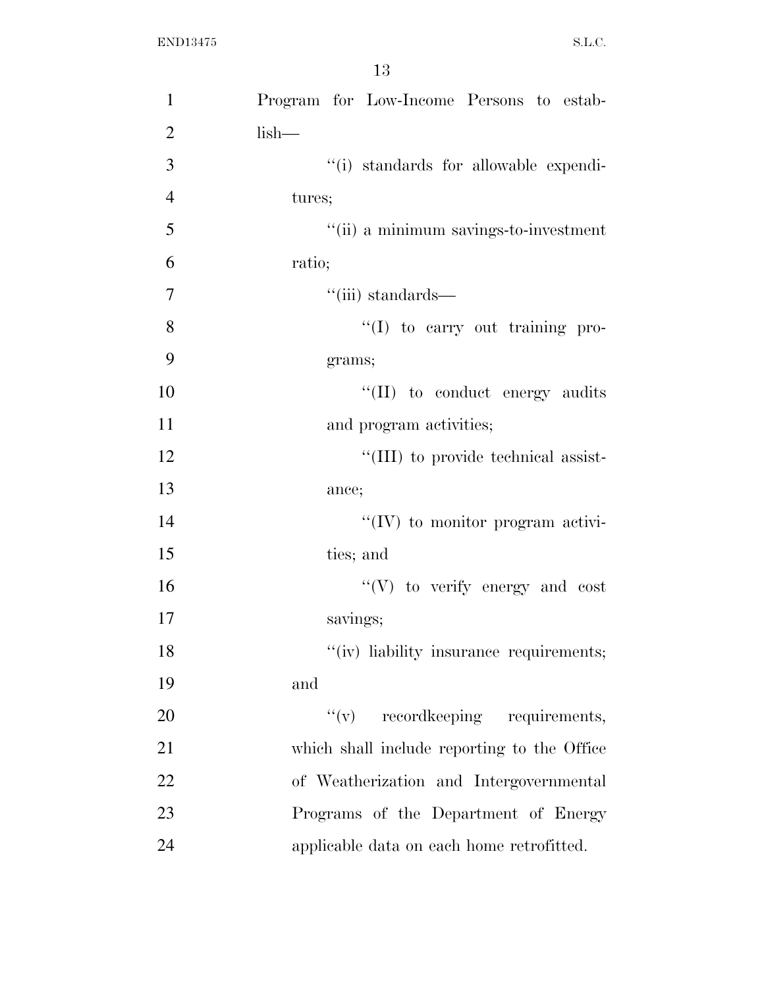| $\mathbf{1}$   | Program for Low-Income Persons to estab-    |
|----------------|---------------------------------------------|
| $\overline{2}$ | $lish-$                                     |
| 3              | "(i) standards for allowable expendi-       |
| $\overline{4}$ | tures;                                      |
| 5              | "(ii) a minimum savings-to-investment       |
| 6              | ratio;                                      |
| 7              | $``(iii)$ standards—                        |
| 8              | "(I) to carry out training pro-             |
| 9              | grams;                                      |
| 10             | "(II) to conduct energy audits              |
| 11             | and program activities;                     |
| 12             | "(III) to provide technical assist-         |
| 13             | ance;                                       |
| 14             | $\lq\lq (IV)$ to monitor program activi-    |
| 15             | ties; and                                   |
| 16             | $\lq\lq(V)$ to verify energy and cost       |
| 17             | savings;                                    |
| 18             | "(iv) liability insurance requirements;     |
| 19             | and                                         |
| 20             | $f'(v)$ record keeping requirements,        |
| 21             | which shall include reporting to the Office |
| 22             | of Weatherization and Intergovernmental     |
| 23             | Programs of the Department of Energy        |
| 24             | applicable data on each home retrofitted.   |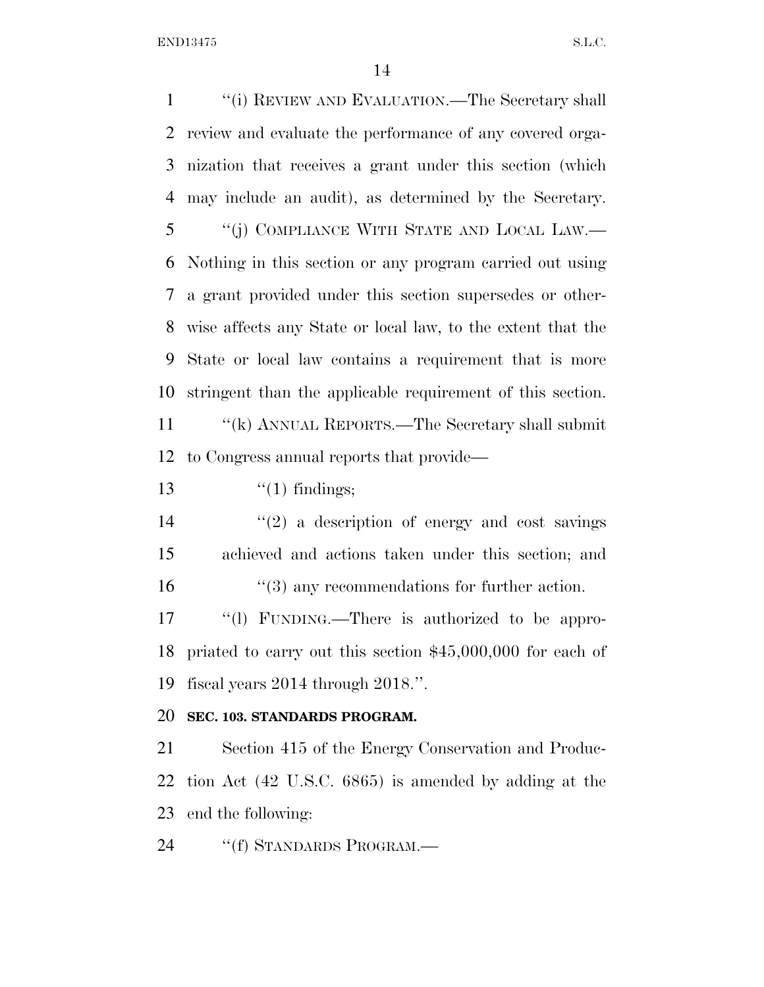END13475 S.L.C.

 ''(i) REVIEW AND EVALUATION.—The Secretary shall review and evaluate the performance of any covered orga- nization that receives a grant under this section (which may include an audit), as determined by the Secretary. ''(j) COMPLIANCE WITH STATE AND LOCAL LAW.— Nothing in this section or any program carried out using a grant provided under this section supersedes or other- wise affects any State or local law, to the extent that the State or local law contains a requirement that is more stringent than the applicable requirement of this section. ''(k) ANNUAL REPORTS.—The Secretary shall submit to Congress annual reports that provide—  $\frac{1}{2}$   $\frac{1}{2}$  findings;  $(2)$  a description of energy and cost savings achieved and actions taken under this section; and 16 ''(3) any recommendations for further action. 17 "(1) FUNDING.—There is authorized to be appro- priated to carry out this section \$45,000,000 for each of fiscal years 2014 through 2018.''. **SEC. 103. STANDARDS PROGRAM.**  Section 415 of the Energy Conservation and Produc- tion Act (42 U.S.C. 6865) is amended by adding at the end the following:

24 "(f) STANDARDS PROGRAM.—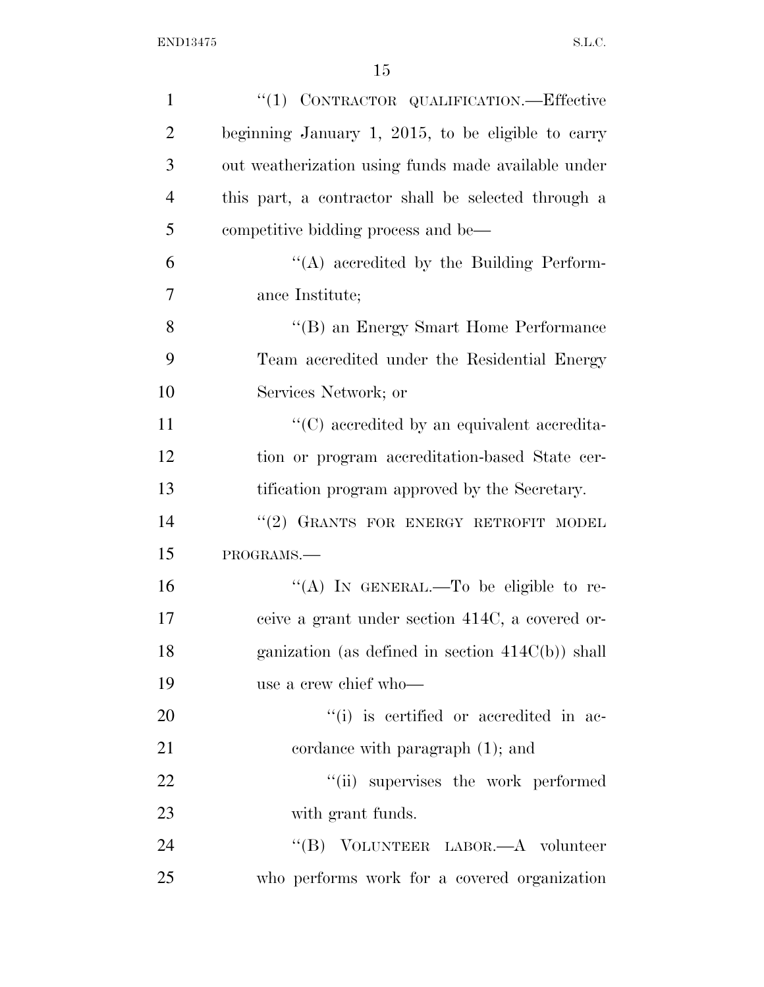| $\mathbf{1}$   | "(1) CONTRACTOR QUALIFICATION.—Effective            |
|----------------|-----------------------------------------------------|
| $\overline{2}$ | beginning January 1, 2015, to be eligible to carry  |
| 3              | out weatherization using funds made available under |
| $\overline{4}$ | this part, a contractor shall be selected through a |
| 5              | competitive bidding process and be—                 |
| 6              | $\lq\lq$ accredited by the Building Perform-        |
| 7              | ance Institute;                                     |
| 8              | "(B) an Energy Smart Home Performance               |
| 9              | Team accredited under the Residential Energy        |
| 10             | Services Network; or                                |
| 11             | "(C) accredited by an equivalent accredita-         |
| 12             | tion or program accreditation-based State cer-      |
| 13             | tification program approved by the Secretary.       |
| 14             | "(2) GRANTS FOR ENERGY RETROFIT MODEL               |
| 15             | PROGRAMS.-                                          |
| 16             | "(A) IN GENERAL.—To be eligible to re-              |
| 17             | ceive a grant under section 414C, a covered or-     |
| 18             | ganization (as defined in section $414C(b)$ ) shall |
| 19             | use a crew chief who-                               |
| 20             | "(i) is certified or accredited in ac-              |
| 21             | cordance with paragraph $(1)$ ; and                 |
| 22             | "(ii) supervises the work performed                 |
| 23             | with grant funds.                                   |
| 24             | "(B) VOLUNTEER LABOR.—A volunteer                   |
| 25             | who performs work for a covered organization        |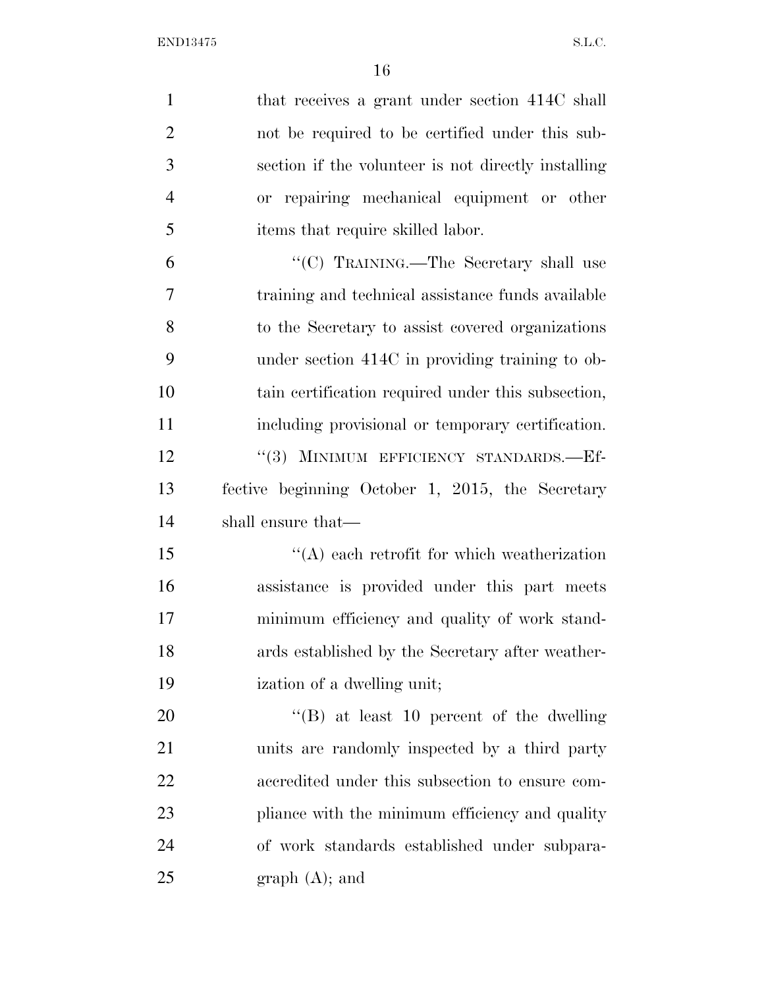| $\mathbf{1}$   | that receives a grant under section 414C shall      |
|----------------|-----------------------------------------------------|
| $\overline{2}$ | not be required to be certified under this sub-     |
| 3              | section if the volunteer is not directly installing |
| $\overline{4}$ | or repairing mechanical equipment or other          |
| 5              | items that require skilled labor.                   |
| 6              | "(C) TRAINING.—The Secretary shall use              |
| 7              | training and technical assistance funds available   |
| 8              | to the Secretary to assist covered organizations    |
| 9              | under section 414C in providing training to ob-     |
| 10             | tain certification required under this subsection,  |
| 11             | including provisional or temporary certification.   |
| 12             | "(3) MINIMUM EFFICIENCY STANDARDS.-Ef-              |
| 13             | fective beginning October 1, 2015, the Secretary    |
| 14             | shall ensure that—                                  |
| 15             | $\lq\lq$ each retrofit for which weatherization     |
| 16             | assistance is provided under this part meets        |
| 17             | minimum efficiency and quality of work stand-       |
| 18             | ards established by the Secretary after weather-    |
| 19             | ization of a dwelling unit;                         |
| 20             | $\lq\lq (B)$ at least 10 percent of the dwelling    |
| 21             | units are randomly inspected by a third party       |
| 22             | accredited under this subsection to ensure com-     |
| 23             | pliance with the minimum efficiency and quality     |
| 24             | of work standards established under subpara-        |
| 25             | graph (A); and                                      |